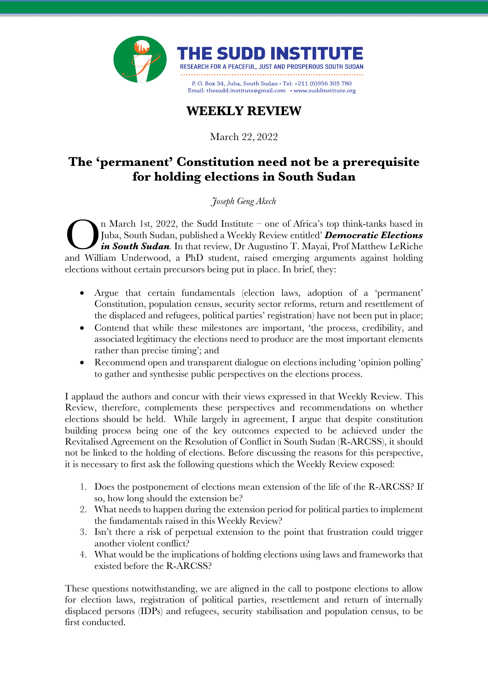

## **WEEKLY REVIEW**

March 22, 2022

## **The 'permanent' Constitution need not be a prerequisite for holding elections in South Sudan**

*Joseph Geng Akech*

n March 1st, 2022, the Sudd Institute – one of Africa's top think-tanks based in Juba, South Sudan, published a Weekly Review entitled' *Democratic Elections in South Sudan.* In that review, Dr Augustino T. Mayai, Prof Matthew LeRiche n March 1st, 2022, the Sudd Institute – one of Africa's top think-tanks based in Juba, South Sudan, published a Weekly Review entitled' **Democratic Elections** *in South Sudan*. In that review, Dr Augustino T. Mayai, Prof M elections without certain precursors being put in place. In brief, they:

- Argue that certain fundamentals (election laws, adoption of a 'permanent' Constitution, population census, security sector reforms, return and resettlement of the displaced and refugees, political parties' registration) have not been put in place;
- Contend that while these milestones are important, 'the process, credibility, and associated legitimacy the elections need to produce are the most important elements rather than precise timing'; and
- Recommend open and transparent dialogue on elections including 'opinion polling' to gather and synthesise public perspectives on the elections process.

I applaud the authors and concur with their views expressed in that Weekly Review. This Review, therefore, complements these perspectives and recommendations on whether elections should be held. While largely in agreement, I argue that despite constitution building process being one of the key outcomes expected to be achieved under the Revitalised Agreement on the Resolution of Conflict in South Sudan (R-ARCSS), it should not be linked to the holding of elections. Before discussing the reasons for this perspective, it is necessary to first ask the following questions which the Weekly Review exposed:

- 1. Does the postponement of elections mean extension of the life of the R-ARCSS? If so, how long should the extension be?
- 2. What needs to happen during the extension period for political parties to implement the fundamentals raised in this Weekly Review?
- 3. Isn't there a risk of perpetual extension to the point that frustration could trigger another violent conflict?
- 4. What would be the implications of holding elections using laws and frameworks that existed before the R-ARCSS?

These questions notwithstanding, we are aligned in the call to postpone elections to allow for election laws, registration of political parties, resettlement and return of internally displaced persons (IDPs) and refugees, security stabilisation and population census, to be first conducted.